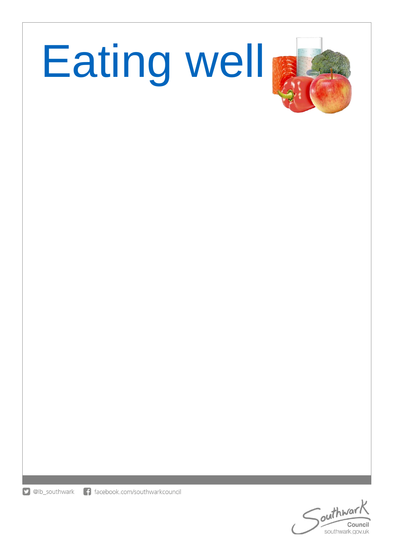



**D** @lb\_southwark fi facebook.com/southwarkcouncil

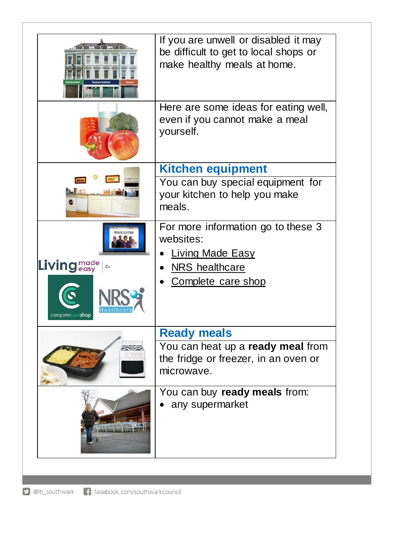|                   | If you are unwell or disabled it may<br>be difficult to get to local shops or<br>make healthy meals at home. |
|-------------------|--------------------------------------------------------------------------------------------------------------|
|                   | Here are some ideas for eating well,<br>even if you cannot make a meal<br>yourself.                          |
|                   | <b>Kitchen equipment</b>                                                                                     |
| Let 5             | You can buy special equipment for<br>your kitchen to help you make<br>meals.                                 |
| Welcome           | For more information go to these 3<br>websites:<br><b>Living Made Easy</b>                                   |
| Living made<br>Сc | NRS healthcare                                                                                               |
| completecareshop  | <b>Complete care shop</b>                                                                                    |
|                   | <b>Ready meals</b>                                                                                           |
|                   | You can heat up a <b>ready meal</b> from<br>the fridge or freezer, in an oven or<br>microwave.               |
|                   | You can buy ready meals from:<br>any supermarket                                                             |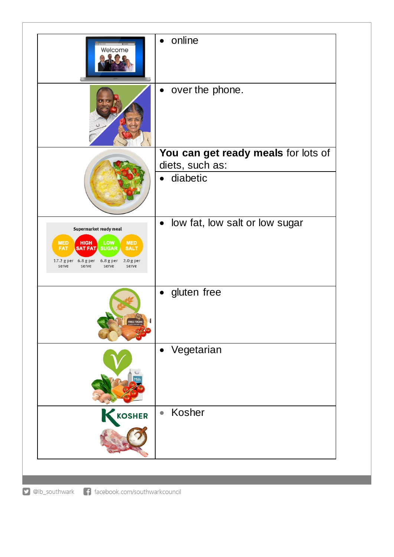| Welcome                                                                                                                                                                                                                  | online<br>$\bullet$                         |
|--------------------------------------------------------------------------------------------------------------------------------------------------------------------------------------------------------------------------|---------------------------------------------|
|                                                                                                                                                                                                                          | over the phone.<br>$\bullet$                |
|                                                                                                                                                                                                                          | You can get ready meals for lots of         |
|                                                                                                                                                                                                                          | diets, such as:<br>diabetic<br>$\bullet$    |
| Supermarket ready meal<br>LOW<br><b>MED</b><br><b>MED</b><br><b>HIGH</b><br><b>SALT</b><br><b>FAT</b><br><b>SAT FAT SUGAR</b><br>$17.2$ g per $6.8$ g per<br>6.8 g per<br>$2.0g$ per<br>serve<br>serve<br>serve<br>serve | low fat, low salt or low sugar<br>$\bullet$ |
|                                                                                                                                                                                                                          | gluten free                                 |
|                                                                                                                                                                                                                          | Vegetarian<br>$\bullet$                     |
| KKOSHER                                                                                                                                                                                                                  | Kosher<br>$\bullet$                         |
|                                                                                                                                                                                                                          |                                             |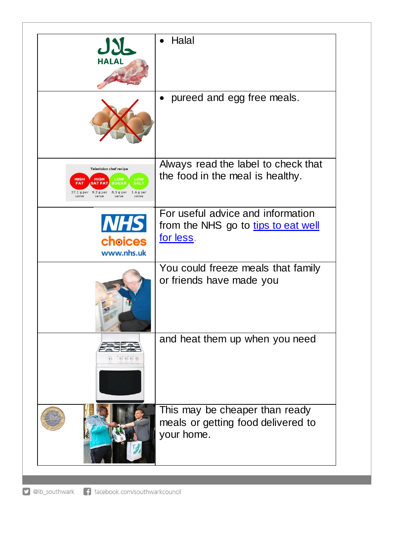| <b>HALAL</b>                                                                                                                   | Halal                                                                                 |
|--------------------------------------------------------------------------------------------------------------------------------|---------------------------------------------------------------------------------------|
|                                                                                                                                | pureed and egg free meals.                                                            |
| <b>Television chef recipe</b><br><b>HIGH</b><br>LOW<br>SAT FA'<br>$27.1$ g per $9.2$ g per<br>8.3 g per<br>$1.6$ g pe<br>serve | Always read the label to check that<br>the food in the meal is healthy.               |
| <b>NHS</b><br>choices<br>www.nhs.uk                                                                                            | For useful advice and information<br>from the NHS go to tips to eat well<br>for less. |
|                                                                                                                                | You could freeze meals that family<br>or friends have made you                        |
|                                                                                                                                | and heat them up when you need                                                        |
|                                                                                                                                | This may be cheaper than ready<br>meals or getting food delivered to<br>your home.    |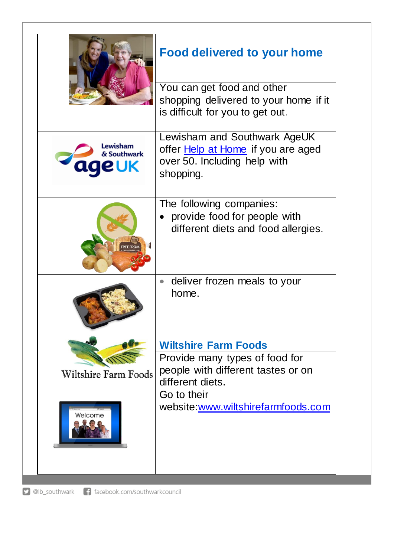|                         | <b>Food delivered to your home</b>                                                                              |
|-------------------------|-----------------------------------------------------------------------------------------------------------------|
|                         | You can get food and other<br>shopping delivered to your home if it<br>is difficult for you to get out.         |
| Lewisham<br>& Southwark | Lewisham and Southwark AgeUK<br>offer Help at Home if you are aged<br>over 50. Including help with<br>shopping. |
|                         | The following companies:<br>provide food for people with<br>different diets and food allergies.                 |
|                         | deliver frozen meals to your<br>home.                                                                           |
|                         | <b>Wiltshire Farm Foods</b>                                                                                     |
| Wiltshire Farm Foods    | Provide many types of food for<br>people with different tastes or on<br>different diets.                        |
| Welcome                 | Go to their<br>website:www.wiltshirefarmfoods.com                                                               |
|                         |                                                                                                                 |

D @lb\_southwark f facebook.com/southwarkcouncil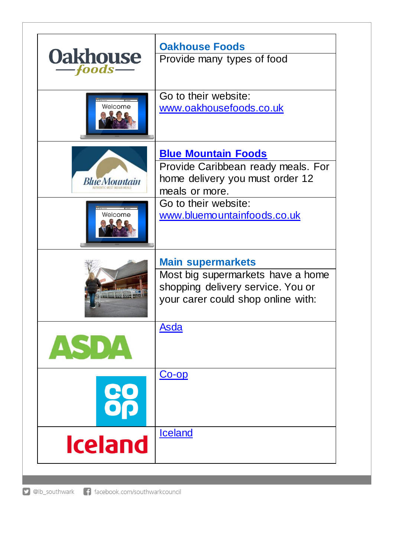| <b>Oakhouse</b><br>$-$ foods $-$<br>Welcome | <b>Oakhouse Foods</b><br>Provide many types of food<br>Go to their website:                                                              |
|---------------------------------------------|------------------------------------------------------------------------------------------------------------------------------------------|
|                                             |                                                                                                                                          |
|                                             | www.oakhousefoods.co.uk                                                                                                                  |
| <b>Blue</b> Mountain                        | <b>Blue Mountain Foods</b><br>Provide Caribbean ready meals. For<br>home delivery you must order 12<br>meals or more.                    |
| Welcome                                     | Go to their website:<br>www.bluemountainfoods.co.uk                                                                                      |
|                                             | <b>Main supermarkets</b><br>Most big supermarkets have a home<br>shopping delivery service. You or<br>your carer could shop online with: |
|                                             | <b>Asda</b>                                                                                                                              |
| <b>CO</b><br>00                             | <u>Co-op</u>                                                                                                                             |
| <b>Iceland</b>                              | <b>Iceland</b>                                                                                                                           |

D @lb\_southwark f facebook.com/southwarkcouncil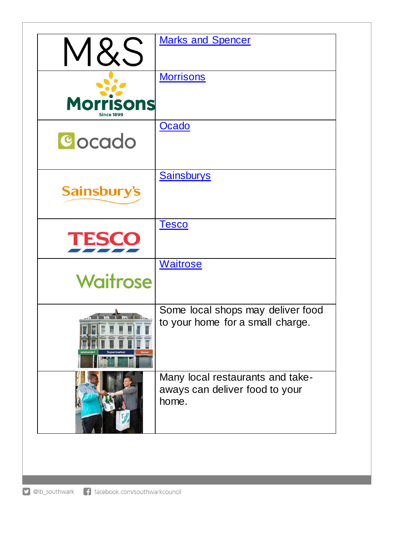| M&S                                   | <b>Marks and Spencer</b>                                                    |
|---------------------------------------|-----------------------------------------------------------------------------|
| <b>Morrisons</b><br><b>Since 1899</b> | <b>Morrisons</b>                                                            |
| Cocado                                | <b>Ocado</b>                                                                |
| Sainsbury's                           | <b>Sainsburys</b>                                                           |
| <b>TESCO</b>                          | <u>Tesco</u>                                                                |
| Waitrose                              | <b>Waitrose</b>                                                             |
|                                       | Some local shops may deliver food<br>to your home for a small charge.       |
|                                       | Many local restaurants and take-<br>aways can deliver food to your<br>home. |

D @lb\_southwark f facebook.com/southwarkcouncil